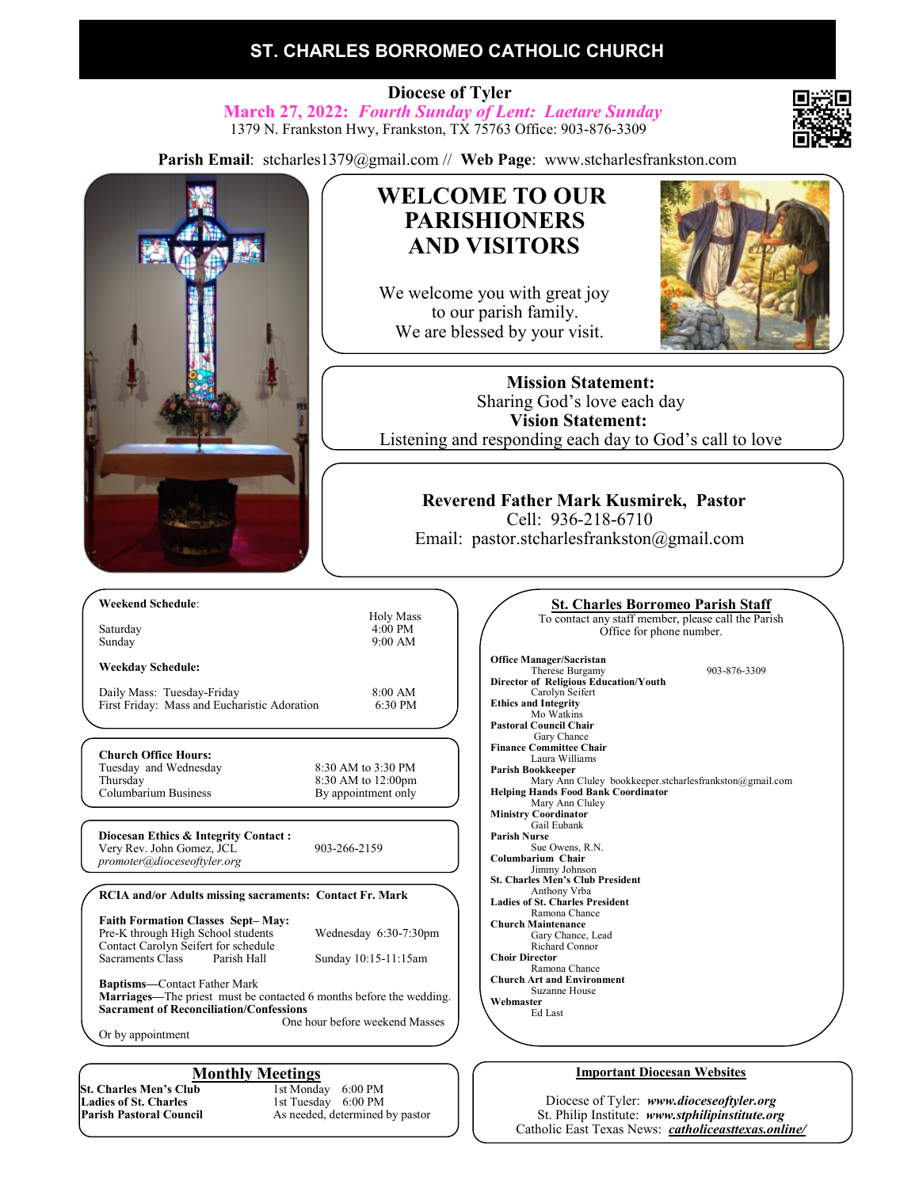# **ST. CHARLES BORROMEO CATHOLIC CHURCH**

 **Diocese of Tyler March 27, 2022:** *Fourth Sunday of Lent: Laetare Sunday* 1379 N. Frankston Hwy, Frankston, TX 75763 Office: 903-876-3309

**Parish Email**: stcharles1379@gmail.com // **Web Page**: www.stcharlesfrankston.com



Contact Carolyn Seifert for schedule<br>Sacraments Class Parish Hall Sunday 10:15-11:15am **Baptisms—**Contact Father Mark **Marriages—**The priest must be contacted 6 months before the wedding.

**Sacrament of Reconciliation/Confessions** One hour before weekend Masses

Or by appointment

**St. Charles Men's Club**<br>Ladies of St. Charles **Ladies of St. Charles** 1st Tuesday 6:00 PM<br> **Parish Pastoral Council** 4s needed, determined

**Monthly Meetings**<br>ab 1st Monday 6:00 PM As needed, determined by pastor

**St. Charles Borromeo Parish Staff** To contact any staff member, please call the Parish Therese Burgamy 903-876-3309 Mary Ann Cluley bookkeeper.stcharlesfrankston@gmail.com Richard Connor **Choir Director** Ramona Chance **Church Art and Environment** Suzanne House **Webmaster** Ed Last

#### **Important Diocesan Websites**

Diocese of Tyler: *www.dioceseoftyler.org* St. Philip Institute: *www.stphilipinstitute.org* Catholic East Texas News: *catholiceasttexas.online/*



**Weekday Schedule:**

First Friday: Mass and Eucharistic Adoration

*promoter@dioceseoftyler.org*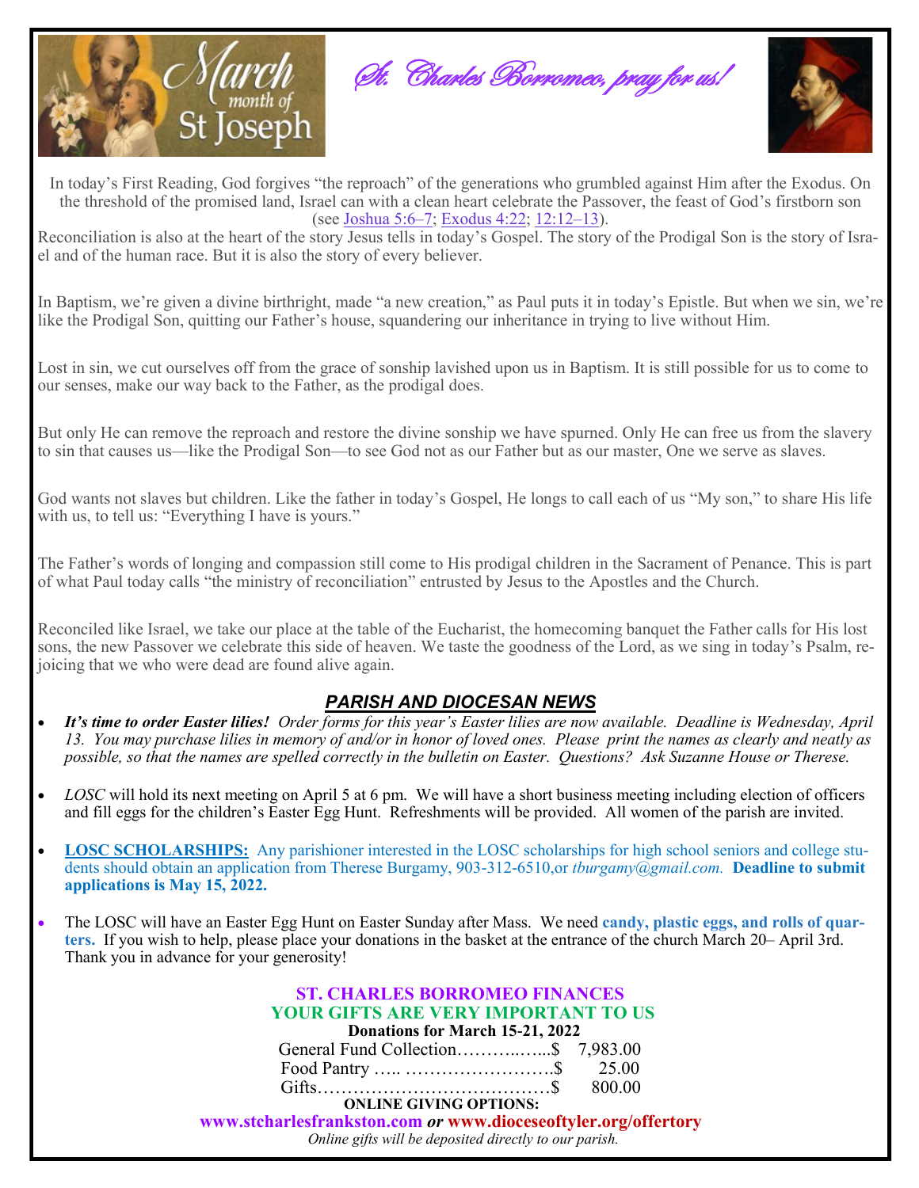





In today's First Reading, God forgives "the reproach" of the generations who grumbled against Him after the Exodus. On the threshold of the promised land, Israel can with a clean heart celebrate the Passover, the feast of God's firstborn son (see [Joshua 5:6–7;](https://biblia.com/bible/rsvce/Josh%205.6%E2%80%937) [Exodus 4:22;](https://biblia.com/bible/rsvce/Exod%204.22) [12:12–13\).](https://biblia.com/bible/rsvce/Exodus%2012.12%E2%80%9313)

Reconciliation is also at the heart of the story Jesus tells in today's Gospel. The story of the Prodigal Son is the story of Israel and of the human race. But it is also the story of every believer.

In Baptism, we're given a divine birthright, made "a new creation," as Paul puts it in today's Epistle. But when we sin, we're like the Prodigal Son, quitting our Father's house, squandering our inheritance in trying to live without Him.

Lost in sin, we cut ourselves off from the grace of sonship lavished upon us in Baptism. It is still possible for us to come to our senses, make our way back to the Father, as the prodigal does.

But only He can remove the reproach and restore the divine sonship we have spurned. Only He can free us from the slavery to sin that causes us—like the Prodigal Son—to see God not as our Father but as our master, One we serve as slaves.

God wants not slaves but children. Like the father in today's Gospel, He longs to call each of us "My son," to share His life with us, to tell us: "Everything I have is yours."

The Father's words of longing and compassion still come to His prodigal children in the Sacrament of Penance. This is part of what Paul today calls "the ministry of reconciliation" entrusted by Jesus to the Apostles and the Church.

Reconciled like Israel, we take our place at the table of the Eucharist, the homecoming banquet the Father calls for His lost sons, the new Passover we celebrate this side of heaven. We taste the goodness of the Lord, as we sing in today's Psalm, rejoicing that we who were dead are found alive again.

## *PARISH AND DIOCESAN NEWS*

- *It's time to order Easter lilies! Order forms for this year's Easter lilies are now available. Deadline is Wednesday, April 13. You may purchase lilies in memory of and/or in honor of loved ones. Please print the names as clearly and neatly as possible, so that the names are spelled correctly in the bulletin on Easter. Questions? Ask Suzanne House or Therese.*
- *LOSC* will hold its next meeting on April 5 at 6 pm. We will have a short business meeting including election of officers and fill eggs for the children's Easter Egg Hunt. Refreshments will be provided. All women of the parish are invited.
- **LOSC SCHOLARSHIPS:** Any parishioner interested in the LOSC scholarships for high school seniors and college students should obtain an application from Therese Burgamy, 903-312-6510,or *tburgamy@gmail.com.* **Deadline to submit applications is May 15, 2022.**
- The LOSC will have an Easter Egg Hunt on Easter Sunday after Mass. We need **candy, plastic eggs, and rolls of quarters.** If you wish to help, please place your donations in the basket at the entrance of the church March 20– April 3rd. Thank you in advance for your generosity!

| <b>ST. CHARLES BORROMEO FINANCES</b>                           |  |
|----------------------------------------------------------------|--|
| <b>YOUR GIFTS ARE VERY IMPORTANT TO US</b>                     |  |
| Donations for March 15-21, 2022                                |  |
| General Fund Collection\$ 7,983.00                             |  |
|                                                                |  |
|                                                                |  |
| <b>ONLINE GIVING OPTIONS:</b>                                  |  |
| www.stcharlesfrankston.com or www.dioceseoftyler.org/offertory |  |
| Online gifts will be deposited directly to our parish.         |  |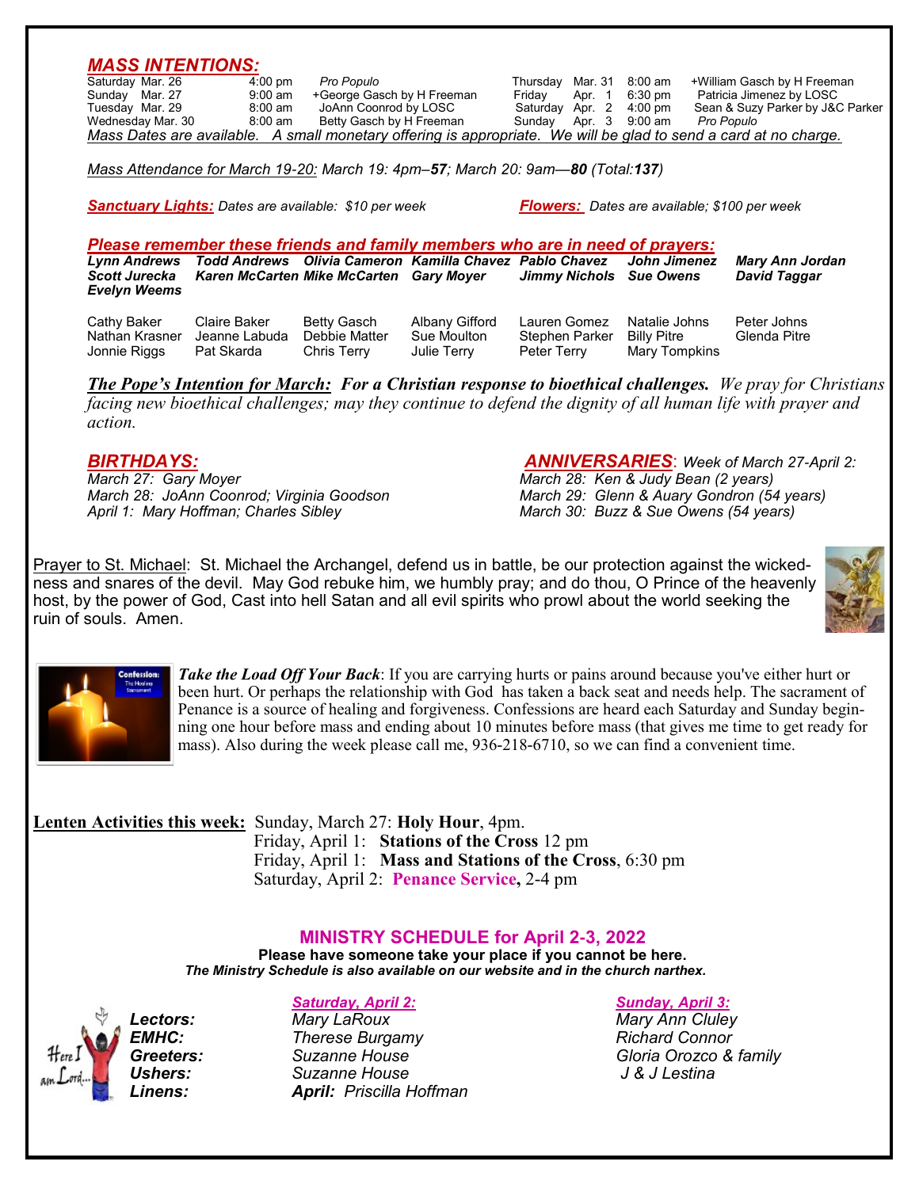|                   | $4:00 \text{ pm}$ | Pro Populo                                                                                                       |  | Thursday Mar. 31 8:00 am | +William Gasch by H Freeman      |
|-------------------|-------------------|------------------------------------------------------------------------------------------------------------------|--|--------------------------|----------------------------------|
| Sunday Mar. 27    | 9:00 am           | +George Gasch by H Freeman                                                                                       |  | Friday Apr. 1 6:30 pm    | Patricia Jimenez by LOSC         |
| Tuesday Mar. 29   | 8:00 am           | JoAnn Coonrod by LOSC                                                                                            |  | Saturday Apr. 2 4:00 pm  | Sean & Suzy Parker by J&C Parker |
| Wednesday Mar. 30 | 8:00 am           | Betty Gasch by H Freeman                                                                                         |  | Sunday Apr. 3 9:00 am    | Pro Populo                       |
|                   |                   | Mass Dates are available. A small monetary offering is appropriate. We will be glad to send a card at no charge. |  |                          |                                  |

*Sanctuary Lights: Dates are available: \$10 per week Flowers: Dates are available; \$100 per week*

*Please remember these friends and family members who are in need of prayers: Lynn Andrews Todd Andrews Olivia Cameron Kamilla Chavez Pablo Chavez John Jimenez Mary Ann Jordan Karen McCarten Mike McCarten Gary Moyer Evelyn Weems*

Cathy Baker Claire Baker Betty Gasch Albany Gifford Lauren Gomez Natalie Johns Peter Johns Nathan Krasner Jeanne Labuda Debbie Matter Sue Moulton Stephen Par<br>Jonnie Riggs Pat Skarda Chris Terry Julie Terry Peter Terry

Mary Tompkins

*The Pope's Intention for March: For a Christian response to bioethical challenges. We pray for Christians facing new bioethical challenges; may they continue to defend the dignity of all human life with prayer and action.*

*BIRTHDAYS: ANNIVERSARIES*: *Week of March 27-April 2: March 28: Ken & Judy Bean (2 years) March 28: JoAnn Coonrod; Virginia Goodson March 29: Glenn & Auary Gondron (54 years) March 30: Buzz & Sue Owens (54 years)* 

Prayer to St. Michael: St. Michael the Archangel, defend us in battle, be our protection against the wickedness and snares of the devil. May God rebuke him, we humbly pray; and do thou, O Prince of the heavenly host, by the power of God, Cast into hell Satan and all evil spirits who prowl about the world seeking the ruin of souls. Amen.





*Take the Load Off Your Back*: If you are carrying hurts or pains around because you've either hurt or been hurt. Or perhaps the relationship with God has taken a back seat and needs help. The sacrament of Penance is a source of healing and forgiveness. Confessions are heard each Saturday and Sunday beginning one hour before mass and ending about 10 minutes before mass (that gives me time to get ready for mass). Also during the week please call me, 936-218-6710, so we can find a convenient time.

**Lenten Activities this week:** Sunday, March 27: **Holy Hour**, 4pm. Friday, April 1: **Stations of the Cross** 12 pm Friday, April 1: **Mass and Stations of the Cross**, 6:30 pm Saturday, April 2: **Penance Service,** 2-4 pm

## **MINISTRY SCHEDULE for April 2-3, 2022**

**Please have someone take your place if you cannot be here.**  *The Ministry Schedule is also available on our website and in the church narthex.*

### *Saturday, April 2: Sunday, April 3:*

**EMHC:** *Therese Burgamy PHOTER Richard Connor Greeters: Suzanne House Gloria Orozco & family Ushers: Suzanne House J & J Lestina Linens: April: Priscilla Hoffman*

*Lectors: Mary LaRoux Mary Ann Cluley*